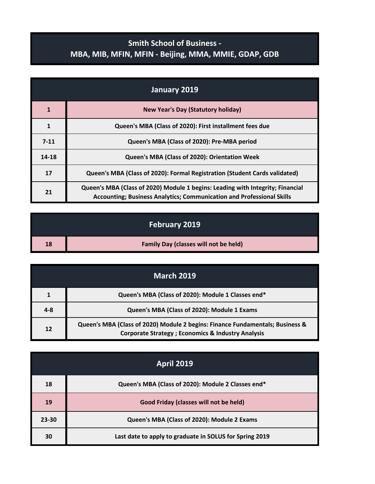## **Smith School of Business - MBA, MIB, MFIN, MFIN - Beijing, MMA, MMIE, GDAP, GDB**

| January 2019 |                                                                                                                                                                |
|--------------|----------------------------------------------------------------------------------------------------------------------------------------------------------------|
| $\mathbf{1}$ | <b>New Year's Day (Statutory holiday)</b>                                                                                                                      |
| 1            | Queen's MBA (Class of 2020): First installment fees due                                                                                                        |
| $7 - 11$     | Queen's MBA (Class of 2020): Pre-MBA period                                                                                                                    |
| 14-18        | Queen's MBA (Class of 2020): Orientation Week                                                                                                                  |
| 17           | Queen's MBA (Class of 2020): Formal Registration (Student Cards validated)                                                                                     |
| 21           | Queen's MBA (Class of 2020) Module 1 begins: Leading with Integrity; Financial<br><b>Accounting: Business Analytics: Communication and Professional Skills</b> |

|    | <b>February 2019</b>                         |
|----|----------------------------------------------|
| 18 | <b>Family Day (classes will not be held)</b> |

| <b>March 2019</b> |                                                                                                                                                |
|-------------------|------------------------------------------------------------------------------------------------------------------------------------------------|
|                   | Queen's MBA (Class of 2020): Module 1 Classes end*                                                                                             |
| $4 - 8$           | Queen's MBA (Class of 2020): Module 1 Exams                                                                                                    |
| 12                | Queen's MBA (Class of 2020) Module 2 begins: Finance Fundamentals; Business &<br><b>Corporate Strategy ; Economics &amp; Industry Analysis</b> |

| <b>April 2019</b> |                                                         |
|-------------------|---------------------------------------------------------|
| 18                | Queen's MBA (Class of 2020): Module 2 Classes end*      |
| 19                | Good Friday (classes will not be held)                  |
| $23 - 30$         | Queen's MBA (Class of 2020): Module 2 Exams             |
| 30                | Last date to apply to graduate in SOLUS for Spring 2019 |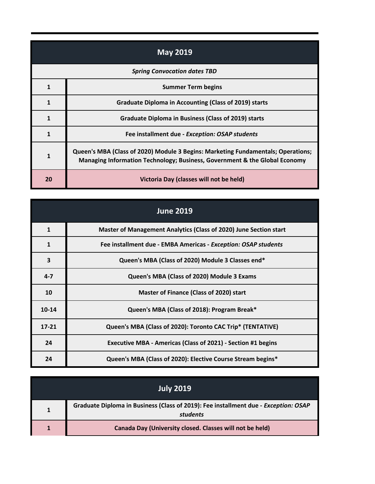| <b>May 2019</b>                     |                                                                                                                                                                |
|-------------------------------------|----------------------------------------------------------------------------------------------------------------------------------------------------------------|
| <b>Spring Convocation dates TBD</b> |                                                                                                                                                                |
| 1                                   | <b>Summer Term begins</b>                                                                                                                                      |
| 1                                   | <b>Graduate Diploma in Accounting (Class of 2019) starts</b>                                                                                                   |
| 1                                   | <b>Graduate Diploma in Business (Class of 2019) starts</b>                                                                                                     |
| 1                                   | Fee installment due - Exception: OSAP students                                                                                                                 |
| $\mathbf{1}$                        | Queen's MBA (Class of 2020) Module 3 Begins: Marketing Fundamentals; Operations;<br>Managing Information Technology; Business, Government & the Global Economy |
| 20                                  | Victoria Day (classes will not be held)                                                                                                                        |

|              | <b>June 2019</b>                                                    |
|--------------|---------------------------------------------------------------------|
| $\mathbf{1}$ | Master of Management Analytics (Class of 2020) June Section start   |
| 1            | Fee installment due - EMBA Americas - Exception: OSAP students      |
| 3            | Queen's MBA (Class of 2020) Module 3 Classes end*                   |
| $4 - 7$      | Queen's MBA (Class of 2020) Module 3 Exams                          |
| 10           | <b>Master of Finance (Class of 2020) start</b>                      |
| 10-14        | Queen's MBA (Class of 2018): Program Break*                         |
| $17 - 21$    | Queen's MBA (Class of 2020): Toronto CAC Trip* (TENTATIVE)          |
| 24           | <b>Executive MBA - Americas (Class of 2021) - Section #1 begins</b> |
| 24           | Queen's MBA (Class of 2020): Elective Course Stream begins*         |

| <b>July 2019</b> |                                                                                                 |
|------------------|-------------------------------------------------------------------------------------------------|
|                  | Graduate Diploma in Business (Class of 2019): Fee installment due - Exception: OSAP<br>students |
|                  | Canada Day (University closed. Classes will not be held)                                        |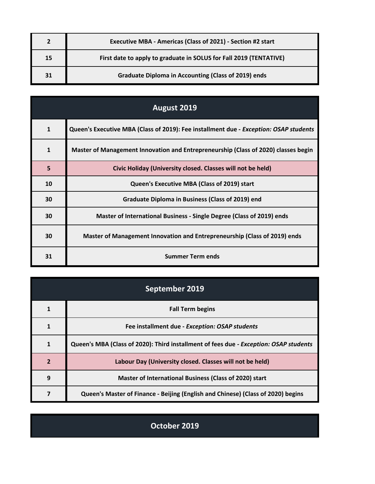|    | Executive MBA - Americas (Class of 2021) - Section #2 start        |
|----|--------------------------------------------------------------------|
| 15 | First date to apply to graduate in SOLUS for Fall 2019 (TENTATIVE) |
| 31 | <b>Graduate Diploma in Accounting (Class of 2019) ends</b>         |

| August 2019  |                                                                                       |
|--------------|---------------------------------------------------------------------------------------|
| $\mathbf{1}$ | Queen's Executive MBA (Class of 2019): Fee installment due - Exception: OSAP students |
| $\mathbf{1}$ | Master of Management Innovation and Entrepreneurship (Class of 2020) classes begin    |
| 5            | Civic Holiday (University closed. Classes will not be held)                           |
| 10           | Queen's Executive MBA (Class of 2019) start                                           |
| 30           | Graduate Diploma in Business (Class of 2019) end                                      |
| 30           | Master of International Business - Single Degree (Class of 2019) ends                 |
| 30           | Master of Management Innovation and Entrepreneurship (Class of 2019) ends             |
| 31           | <b>Summer Term ends</b>                                                               |

| September 2019 |                                                                                       |
|----------------|---------------------------------------------------------------------------------------|
|                | <b>Fall Term begins</b>                                                               |
|                | Fee installment due - Exception: OSAP students                                        |
| $\mathbf{1}$   | Queen's MBA (Class of 2020): Third installment of fees due - Exception: OSAP students |
| $\overline{2}$ | Labour Day (University closed. Classes will not be held)                              |
| 9              | Master of International Business (Class of 2020) start                                |
|                | Queen's Master of Finance - Beijing (English and Chinese) (Class of 2020) begins      |

**October 2019**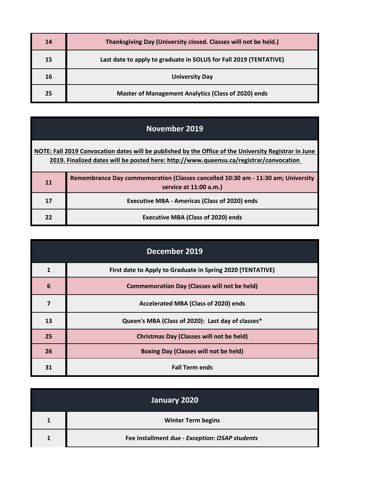| 14 | Thanksgiving Day (University closed. Classes will not be held.)   |
|----|-------------------------------------------------------------------|
| 15 | Last date to apply to graduate in SOLUS for Fall 2019 (TENTATIVE) |
| 16 | <b>University Day</b>                                             |
| 25 | <b>Master of Management Analytics (Class of 2020) ends</b>        |

**[NOTE: Fall 2](http://www.queensu.ca/registrar/convocation)019 Convocation dates will be published by the Office of the University Registrar in June [2019.](http://www.queensu.ca/registrar/convocation) Finalized dates will be posted here: http://www.queensu.ca/registrar/convocation** 

| 11 | Remembrance Day commemoration (Classes cancelled 10:30 am - 11:30 am; University<br>service at 11:00 a.m.) |
|----|------------------------------------------------------------------------------------------------------------|
| 17 | <b>Executive MBA - Americas (Class of 2020) ends</b>                                                       |
| 22 | <b>Executive MBA (Class of 2020) ends</b>                                                                  |

| December 2019 |                                                            |
|---------------|------------------------------------------------------------|
| $\mathbf{1}$  | First date to Apply to Graduate in Spring 2020 (TENTATIVE) |
| 6             | <b>Commemoration Day (Classes will not be held)</b>        |
| 7             | Accelerated MBA (Class of 2020) ends                       |
| 13            | Queen's MBA (Class of 2020): Last day of classes*          |
| 25            | <b>Christmas Day (Classes will not be held)</b>            |
| 26            | <b>Boxing Day (Classes will not be held)</b>               |
| 31            | <b>Fall Term ends</b>                                      |

| January 2020 |                                                |
|--------------|------------------------------------------------|
| $\mathbf{1}$ | <b>Winter Term begins</b>                      |
|              | Fee installment due - Exception: OSAP students |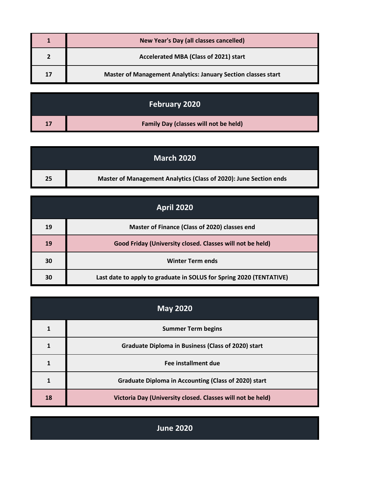|    | <b>New Year's Day (all classes cancelled)</b>                 |
|----|---------------------------------------------------------------|
|    | Accelerated MBA (Class of 2021) start                         |
| 17 | Master of Management Analytics: January Section classes start |

|    | February 2020                                |
|----|----------------------------------------------|
| 17 | <b>Family Day (classes will not be held)</b> |

|    | <b>March 2020</b>                                                 |
|----|-------------------------------------------------------------------|
| 25 | Master of Management Analytics (Class of 2020): June Section ends |

| <b>April 2020</b> |                                                                     |
|-------------------|---------------------------------------------------------------------|
| 19                | Master of Finance (Class of 2020) classes end                       |
| 19                | Good Friday (University closed. Classes will not be held)           |
| 30                | <b>Winter Term ends</b>                                             |
| 30                | Last date to apply to graduate in SOLUS for Spring 2020 (TENTATIVE) |

| <b>May 2020</b> |                                                             |
|-----------------|-------------------------------------------------------------|
|                 | <b>Summer Term begins</b>                                   |
|                 | <b>Graduate Diploma in Business (Class of 2020) start</b>   |
|                 | Fee installment due                                         |
|                 | <b>Graduate Diploma in Accounting (Class of 2020) start</b> |
| 18              | Victoria Day (University closed. Classes will not be held)  |

**June 2020**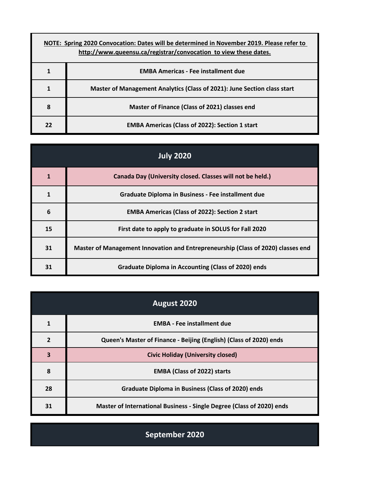| NOTE: Spring 2020 Convocation: Dates will be determined in November 2019. Please refer to<br>http://www.queensu.ca/registrar/convocation to view these dates. |                                                                          |
|---------------------------------------------------------------------------------------------------------------------------------------------------------------|--------------------------------------------------------------------------|
|                                                                                                                                                               | <b>EMBA Americas - Fee installment due</b>                               |
| 1                                                                                                                                                             | Master of Management Analytics (Class of 2021): June Section class start |
| 8                                                                                                                                                             | Master of Finance (Class of 2021) classes end                            |
| 22                                                                                                                                                            | <b>EMBA Americas (Class of 2022): Section 1 start</b>                    |

| <b>July 2020</b> |                                                                                  |
|------------------|----------------------------------------------------------------------------------|
| $\mathbf{1}$     | Canada Day (University closed. Classes will not be held.)                        |
| $\mathbf{1}$     | Graduate Diploma in Business - Fee installment due                               |
| 6                | <b>EMBA Americas (Class of 2022): Section 2 start</b>                            |
| 15               | First date to apply to graduate in SOLUS for Fall 2020                           |
| 31               | Master of Management Innovation and Entrepreneurship (Class of 2020) classes end |
| 31               | <b>Graduate Diploma in Accounting (Class of 2020) ends</b>                       |

| August 2020    |                                                                       |
|----------------|-----------------------------------------------------------------------|
|                | <b>EMBA - Fee installment due</b>                                     |
| $\overline{2}$ | Queen's Master of Finance - Beijing (English) (Class of 2020) ends    |
| 3              | <b>Civic Holiday (University closed)</b>                              |
| 8              | <b>EMBA (Class of 2022) starts</b>                                    |
| 28             | <b>Graduate Diploma in Business (Class of 2020) ends</b>              |
| 31             | Master of International Business - Single Degree (Class of 2020) ends |

**September 2020**